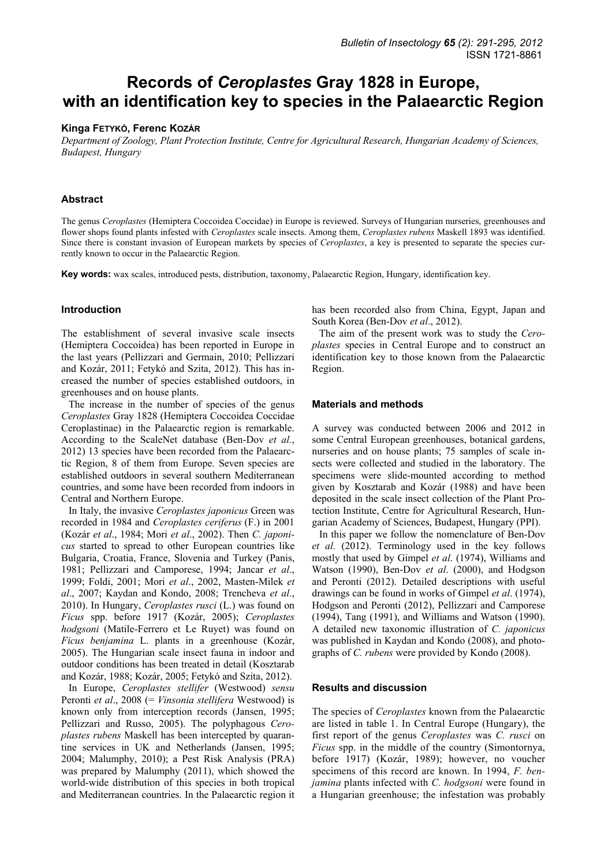# **Records of** *Ceroplastes* **Gray 1828 in Europe, with an identification key to species in the Palaearctic Region**

## **Kinga FETYKÓ, Ferenc KOZÁR**

*Department of Zoology, Plant Protection Institute, Centre for Agricultural Research, Hungarian Academy of Sciences, Budapest, Hungary* 

# **Abstract**

The genus *Ceroplastes* (Hemiptera Coccoidea Coccidae) in Europe is reviewed. Surveys of Hungarian nurseries, greenhouses and flower shops found plants infested with *Ceroplastes* scale insects. Among them, *Ceroplastes rubens* Maskell 1893 was identified. Since there is constant invasion of European markets by species of *Ceroplastes*, a key is presented to separate the species currently known to occur in the Palaearctic Region.

**Key words:** wax scales, introduced pests, distribution, taxonomy, Palaearctic Region, Hungary, identification key.

# **Introduction**

The establishment of several invasive scale insects (Hemiptera Coccoidea) has been reported in Europe in the last years (Pellizzari and Germain, 2010; Pellizzari and Kozár, 2011; Fetykó and Szita, 2012). This has increased the number of species established outdoors, in greenhouses and on house plants.

The increase in the number of species of the genus *Ceroplastes* Gray 1828 (Hemiptera Coccoidea Coccidae Ceroplastinae) in the Palaearctic region is remarkable. According to the ScaleNet database (Ben-Dov *et al.*, 2012) 13 species have been recorded from the Palaearctic Region, 8 of them from Europe. Seven species are established outdoors in several southern Mediterranean countries, and some have been recorded from indoors in Central and Northern Europe.

In Italy, the invasive *Ceroplastes japonicus* Green was recorded in 1984 and *Ceroplastes ceriferus* (F.) in 2001 (Kozár *et al*., 1984; Mori *et al*., 2002). Then *C. japonicus* started to spread to other European countries like Bulgaria, Croatia, France, Slovenia and Turkey (Panis, 1981; Pellizzari and Camporese, 1994; Jancar *et al*., 1999; Foldi, 2001; Mori *et al*., 2002, Masten-Milek *et al*., 2007; Kaydan and Kondo, 2008; Trencheva *et al*., 2010). In Hungary, *Ceroplastes rusci* (L.) was found on *Ficus* spp. before 1917 (Kozár, 2005); *Ceroplastes hodgsoni* (Matile-Ferrero et Le Ruyet) was found on *Ficus benjamina* L. plants in a greenhouse (Kozár, 2005). The Hungarian scale insect fauna in indoor and outdoor conditions has been treated in detail (Kosztarab and Kozár, 1988; Kozár, 2005; Fetykó and Szita, 2012).

In Europe, *Ceroplastes stellifer* (Westwood) *sensu* Peronti *et al*., 2008 (= *Vinsonia stellifera* Westwood) is known only from interception records (Jansen, 1995; Pellizzari and Russo, 2005). The polyphagous *Ceroplastes rubens* Maskell has been intercepted by quarantine services in UK and Netherlands (Jansen, 1995; 2004; Malumphy, 2010); a Pest Risk Analysis (PRA) was prepared by Malumphy (2011), which showed the world-wide distribution of this species in both tropical and Mediterranean countries. In the Palaearctic region it has been recorded also from China, Egypt, Japan and South Korea (Ben-Dov *et al*., 2012).

The aim of the present work was to study the *Ceroplastes* species in Central Europe and to construct an identification key to those known from the Palaearctic Region.

## **Materials and methods**

A survey was conducted between 2006 and 2012 in some Central European greenhouses, botanical gardens, nurseries and on house plants; 75 samples of scale insects were collected and studied in the laboratory. The specimens were slide-mounted according to method given by Kosztarab and Kozár (1988) and have been deposited in the scale insect collection of the Plant Protection Institute, Centre for Agricultural Research, Hungarian Academy of Sciences, Budapest, Hungary (PPI).

In this paper we follow the nomenclature of Ben-Dov *et al.* (2012). Terminology used in the key follows mostly that used by Gimpel *et al*. (1974), Williams and Watson (1990), Ben-Dov *et al*. (2000), and Hodgson and Peronti (2012). Detailed descriptions with useful drawings can be found in works of Gimpel *et al*. (1974), Hodgson and Peronti (2012), Pellizzari and Camporese (1994), Tang (1991), and Williams and Watson (1990). A detailed new taxonomic illustration of *C. japonicus* was published in Kaydan and Kondo (2008), and photographs of *C. rubens* were provided by Kondo (2008).

## **Results and discussion**

The species of *Ceroplastes* known from the Palaearctic are listed in table 1. In Central Europe (Hungary), the first report of the genus *Ceroplastes* was *C. rusci* on *Ficus* spp. in the middle of the country (Simontornya, before 1917) (Kozár, 1989); however, no voucher specimens of this record are known. In 1994, *F. benjamina* plants infected with *C. hodgsoni* were found in a Hungarian greenhouse; the infestation was probably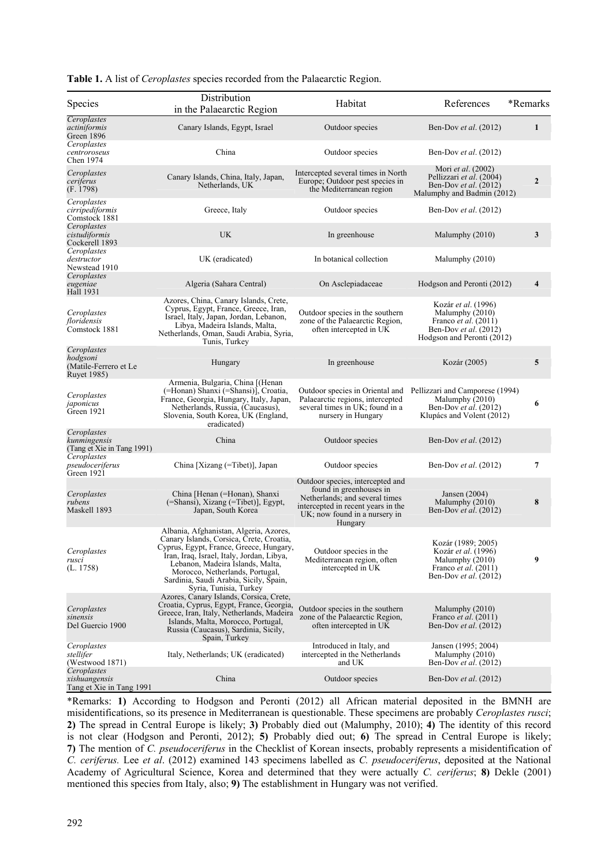| Species                                                                | Distribution<br>in the Palaearctic Region                                                                                                                                                                                                                                                                             | Habitat                                                                                                                                                                         | References                                                                                                                   | *Remarks                |
|------------------------------------------------------------------------|-----------------------------------------------------------------------------------------------------------------------------------------------------------------------------------------------------------------------------------------------------------------------------------------------------------------------|---------------------------------------------------------------------------------------------------------------------------------------------------------------------------------|------------------------------------------------------------------------------------------------------------------------------|-------------------------|
| Ceroplastes<br>actiniformis<br>Green 1896                              | Canary Islands, Egypt, Israel                                                                                                                                                                                                                                                                                         | Outdoor species                                                                                                                                                                 | Ben-Dov et al. (2012)                                                                                                        | $\mathbf{1}$            |
| Ceroplastes<br>centroroseus<br>Chen 1974                               | China                                                                                                                                                                                                                                                                                                                 | Outdoor species                                                                                                                                                                 | Ben-Dov <i>et al.</i> (2012)                                                                                                 |                         |
| Ceroplastes<br>ceriferus<br>(F. 1798)                                  | Canary Islands, China, Italy, Japan,<br>Netherlands, UK                                                                                                                                                                                                                                                               | Intercepted several times in North<br>Europe; Outdoor pest species in<br>the Mediterranean region                                                                               | Mori <i>et al.</i> (2002)<br>Pellizzari <i>et al.</i> (2004)<br>Ben-Dov et al. (2012)<br>Malumphy and Badmin (2012)          | $\mathbf{2}$            |
| Ceroplastes<br>cirripediformis<br>Comstock 1881                        | Greece, Italy                                                                                                                                                                                                                                                                                                         | Outdoor species                                                                                                                                                                 | Ben-Dov et al. (2012)                                                                                                        |                         |
| Ceroplastes<br>cistudiformis<br>Cockerell 1893                         | UK                                                                                                                                                                                                                                                                                                                    | In greenhouse                                                                                                                                                                   | Malumphy (2010)                                                                                                              | 3                       |
| Ceroplastes<br>destructor<br>Newstead 1910                             | UK (eradicated)                                                                                                                                                                                                                                                                                                       | In botanical collection                                                                                                                                                         | Malumphy (2010)                                                                                                              |                         |
| Ceroplastes<br>eugeniae<br>Hall 1931                                   | Algeria (Sahara Central)                                                                                                                                                                                                                                                                                              | On Asclepiadaceae                                                                                                                                                               | Hodgson and Peronti (2012)                                                                                                   | $\overline{\mathbf{4}}$ |
| Ceroplastes<br>floridensis<br>Comstock 1881                            | Azores, China, Canary Islands, Crete,<br>Cyprus, Egypt, France, Greece, Iran,<br>Israel, Italy, Japan, Jordan, Lebanon,<br>Libya, Madeira Islands, Malta,<br>Netherlands, Oman, Saudi Arabia, Syria,<br>Tunis, Turkey                                                                                                 | Outdoor species in the southern<br>zone of the Palaearctic Region,<br>often intercepted in UK                                                                                   | Kozár et al. (1996)<br>Malumphy (2010)<br>Franco <i>et al.</i> (2011)<br>Ben-Dov et al. (2012)<br>Hodgson and Peronti (2012) |                         |
| Ceroplastes<br>hodgsoni<br>(Matile-Ferrero et Le<br><b>Ruvet 1985)</b> | Hungary                                                                                                                                                                                                                                                                                                               | In greenhouse                                                                                                                                                                   | Kozár (2005)                                                                                                                 | 5                       |
| Ceroplastes<br>japonicus<br>Green 1921                                 | Armenia, Bulgaria, China [(Henan<br>(=Honan) Shanxi (=Shansi)], Croatia,<br>France, Georgia, Hungary, Italy, Japan,<br>Netherlands, Russia, (Caucasus),<br>Slovenia, South Korea, UK (England,<br>eradicated)                                                                                                         | Outdoor species in Oriental and<br>Palaearctic regions, intercepted<br>several times in UK; found in a<br>nursery in Hungary                                                    | Pellizzari and Camporese (1994)<br>Malumphy $(2010)$<br>Ben-Dov et al. (2012)<br>Klupács and Volent (2012)                   | 6                       |
| Ceroplastes<br>kunmingensis<br>(Tang et Xie in Tang 1991)              | China                                                                                                                                                                                                                                                                                                                 | Outdoor species                                                                                                                                                                 | Ben-Dov et al. (2012)                                                                                                        |                         |
| Ceroplastes<br>pseudoceriferus<br>Green 1921                           | China [Xizang (=Tibet)], Japan                                                                                                                                                                                                                                                                                        | Outdoor species                                                                                                                                                                 | Ben-Dov et al. (2012)                                                                                                        | $\overline{7}$          |
| Ceroplastes<br>rubens<br>Maskell 1893                                  | China [Henan (=Honan), Shanxi<br>(=Shansi), Xizang (=Tibet)], Egypt,<br>Japan, South Korea                                                                                                                                                                                                                            | Outdoor species, intercepted and<br>found in greenhouses in<br>Netherlands; and several times<br>intercepted in recent years in the<br>UK; now found in a nursery in<br>Hungary | Jansen $(2004)$<br>Malumphy $(2010)$<br>Ben-Dov et al. (2012)                                                                | 8                       |
| Ceroplastes<br>rusci<br>(L. 1758)                                      | Albania, Afghanistan, Algeria, Azores,<br>Canary Islands, Corsica, Crete, Croatia,<br>Cyprus, Egypt, France, Greece, Hungary,<br>Iran, Iraq, Israel, Italy, Jordan, Libya,<br>Lebanon, Madeira Islands, Malta,<br>Morocco, Netherlands, Portugal,<br>Sardinia, Saudi Arabia, Sicily, Spain,<br>Syria, Tunisia, Turkey | Outdoor species in the<br>Mediterranean region, often<br>intercepted in UK                                                                                                      | Kozár (1989; 2005)<br>Kozár et al. (1996)<br>Malumphy (2010)<br>Franco et al. (2011)<br>Ben-Dov et al. (2012)                | 9                       |
| Ceroplastes<br>sinensis<br>Del Guercio 1900                            | Azores, Canary Islands, Corsica, Crete,<br>Croatia, Cyprus, Egypt, France, Georgia,<br>Greece, Iran, Italy, Netherlands, Madeira<br>Islands, Malta, Morocco, Portugal,<br>Russia (Caucasus), Sardinia, Sicily,<br>Spain, Turkey                                                                                       | Outdoor species in the southern<br>zone of the Palaearctic Region.<br>often intercepted in UK                                                                                   | Malumphy (2010)<br>Franco <i>et al.</i> $(2011)$<br>Ben-Dov et al. (2012)                                                    |                         |
| Ceroplastes<br>stellifer<br>(Westwood 1871)                            | Italy, Netherlands; UK (eradicated)                                                                                                                                                                                                                                                                                   | Introduced in Italy, and<br>intercepted in the Netherlands<br>and UK                                                                                                            | Jansen (1995; 2004)<br>Malumphy (2010)<br>Ben-Dov et al. (2012)                                                              |                         |
| Ceroplastes<br>xishuangensis<br>Tang et Xie in Tang 1991               | China                                                                                                                                                                                                                                                                                                                 | Outdoor species                                                                                                                                                                 | Ben-Dov et al. (2012)                                                                                                        |                         |

**Table 1.** A list of *Ceroplastes* species recorded from the Palaearctic Region.

\*Remarks: **1)** According to Hodgson and Peronti (2012) all African material deposited in the BMNH are misidentifications, so its presence in Mediterranean is questionable. These specimens are probably *Ceroplastes rusci*; **2)** The spread in Central Europe is likely; **3)** Probably died out (Malumphy, 2010); **4)** The identity of this record is not clear (Hodgson and Peronti, 2012); **5)** Probably died out; **6)** The spread in Central Europe is likely; **7)** The mention of *C. pseudoceriferus* in the Checklist of Korean insects, probably represents a misidentification of *C. ceriferus.* Lee *et al*. (2012) examined 143 specimens labelled as *C. pseudoceriferus*, deposited at the National Academy of Agricultural Science, Korea and determined that they were actually *C. ceriferus*; **8)** Dekle (2001) mentioned this species from Italy, also; **9)** The establishment in Hungary was not verified.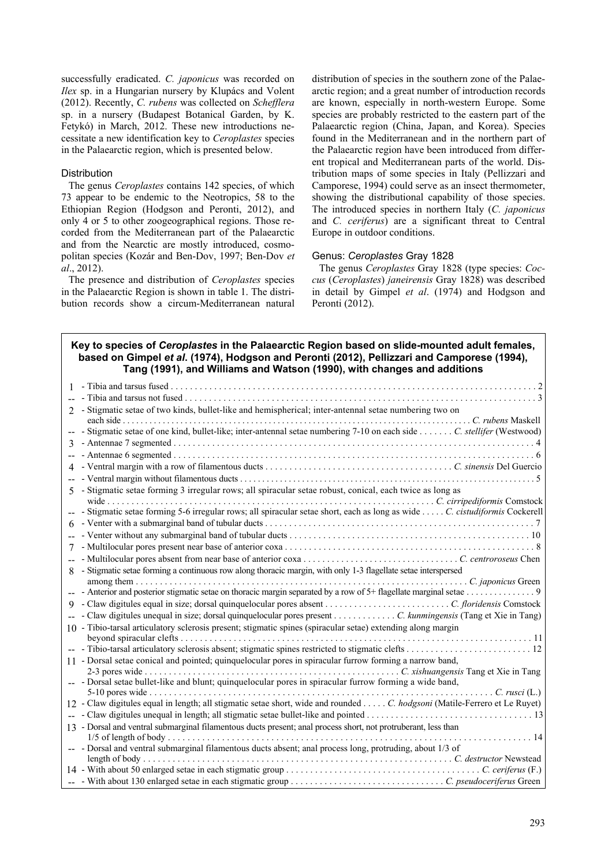successfully eradicated. *C. japonicus* was recorded on *Ilex* sp. in a Hungarian nursery by Klupács and Volent (2012). Recently, *C. rubens* was collected on *Schefflera* sp. in a nursery (Budapest Botanical Garden, by K. Fetykó) in March, 2012. These new introductions necessitate a new identification key to *Ceroplastes* species in the Palaearctic region, which is presented below.

#### **Distribution**

The genus *Ceroplastes* contains 142 species, of which 73 appear to be endemic to the Neotropics, 58 to the Ethiopian Region (Hodgson and Peronti, 2012), and only 4 or 5 to other zoogeographical regions. Those recorded from the Mediterranean part of the Palaearctic and from the Nearctic are mostly introduced, cosmopolitan species (Kozár and Ben-Dov, 1997; Ben-Dov *et al*., 2012).

The presence and distribution of *Ceroplastes* species in the Palaearctic Region is shown in table 1. The distribution records show a circum-Mediterranean natural

distribution of species in the southern zone of the Palaearctic region; and a great number of introduction records are known, especially in north-western Europe. Some species are probably restricted to the eastern part of the Palaearctic region (China, Japan, and Korea). Species found in the Mediterranean and in the northern part of the Palaearctic region have been introduced from different tropical and Mediterranean parts of the world. Distribution maps of some species in Italy (Pellizzari and Camporese, 1994) could serve as an insect thermometer, showing the distributional capability of those species. The introduced species in northern Italy (*C. japonicus* and *C. ceriferus*) are a significant threat to Central Europe in outdoor conditions.

#### Genus: *Ceroplastes* Gray 1828

The genus *Ceroplastes* Gray 1828 (type species: *Coccus* (*Ceroplastes*) *janeirensis* Gray 1828) was described in detail by Gimpel *et al*. (1974) and Hodgson and Peronti (2012).

# **Key to species of** *Ceroplastes* **in the Palaearctic Region based on slide-mounted adult females, based on Gimpel** *et al***. (1974), Hodgson and Peronti (2012), Pellizzari and Camporese (1994), Tang (1991), and Williams and Watson (1990), with changes and additions**

| - Stigmatic setae of two kinds, bullet-like and hemispherical; inter-antennal setae numbering two on<br>$\mathfrak{D}$      |  |
|-----------------------------------------------------------------------------------------------------------------------------|--|
| each side $\ldots$                                                                                                          |  |
| - Stigmatic setae of one kind, bullet-like; inter-antennal setae numbering 7-10 on each side C. stellifer (Westwood)<br>$-$ |  |
| 3                                                                                                                           |  |
|                                                                                                                             |  |
| 4                                                                                                                           |  |
|                                                                                                                             |  |
| - Stigmatic setae forming 3 irregular rows; all spiracular setae robust, conical, each twice as long as<br>5 <sup>1</sup>   |  |
|                                                                                                                             |  |
| - Stigmatic setae forming 5-6 irregular rows; all spiracular setae short, each as long as wide  C. cistudiformis Cockerell  |  |
| 6                                                                                                                           |  |
|                                                                                                                             |  |
| 7                                                                                                                           |  |
|                                                                                                                             |  |
| 8 - Stigmatic setae forming a continuous row along thoracic margin, with only 1-3 flagellate setae interspersed             |  |
| among them $\dots \dots$                                                                                                    |  |
| - Anterior and posterior stigmatic setae on thoracic margin separated by a row of 5+ flagellate marginal setae 9            |  |
| 9                                                                                                                           |  |
|                                                                                                                             |  |
| 10 - Tibio-tarsal articulatory sclerosis present; stigmatic spines (spiracular setae) extending along margin                |  |
| beyond spiracular clefts                                                                                                    |  |
|                                                                                                                             |  |
| 11 - Dorsal setae conical and pointed; quinquelocular pores in spiracular furrow forming a narrow band,                     |  |
|                                                                                                                             |  |
| -- - Dorsal setae bullet-like and blunt; quinquelocular pores in spiracular furrow forming a wide band,                     |  |
| 12 - Claw digitules equal in length; all stigmatic setae short, wide and rounded C. hodgsoni (Matile-Ferrero et Le Ruyet)   |  |
|                                                                                                                             |  |
|                                                                                                                             |  |
| 13 - Dorsal and ventral submarginal filamentous ducts present; anal process short, not protruberant, less than              |  |
| -- Dorsal and ventral submarginal filamentous ducts absent; anal process long, protruding, about 1/3 of                     |  |
|                                                                                                                             |  |
|                                                                                                                             |  |
|                                                                                                                             |  |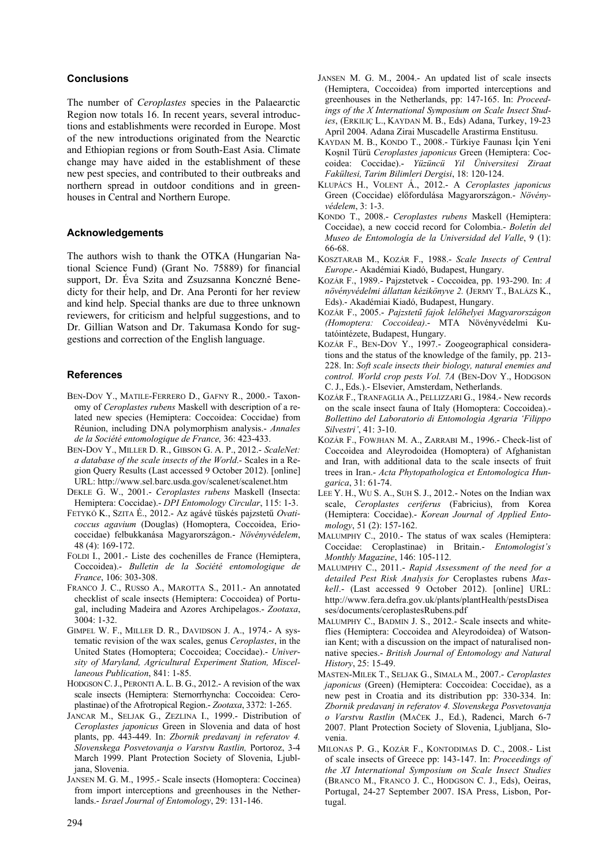### **Conclusions**

The number of *Ceroplastes* species in the Palaearctic Region now totals 16. In recent years, several introductions and establishments were recorded in Europe. Most of the new introductions originated from the Nearctic and Ethiopian regions or from South-East Asia. Climate change may have aided in the establishment of these new pest species, and contributed to their outbreaks and northern spread in outdoor conditions and in greenhouses in Central and Northern Europe.

#### **Acknowledgements**

The authors wish to thank the OTKA (Hungarian National Science Fund) (Grant No. 75889) for financial support, Dr. Éva Szita and Zsuzsanna Konczné Benedicty for their help, and Dr. Ana Peronti for her review and kind help. Special thanks are due to three unknown reviewers, for criticism and helpful suggestions, and to Dr. Gillian Watson and Dr. Takumasa Kondo for suggestions and correction of the English language.

#### **References**

- BEN-DOV Y., MATILE-FERRERO D., GAFNY R., 2000.- Taxonomy of *Ceroplastes rubens* Maskell with description of a related new species (Hemiptera: Coccoidea: Coccidae) from Réunion, including DNA polymorphism analysis.- *Annales de la Société entomologique de France,* 36: 423-433.
- BEN-DOV Y., MILLER D. R., GIBSON G. A. P., 2012.- *ScaleNet: a database of the scale insects of the World*.- Scales in a Region Query Results (Last accessed 9 October 2012). [online] URL: http://www.sel.barc.usda.gov/scalenet/scalenet.htm
- DEKLE G. W., 2001.- *Ceroplastes rubens* Maskell (Insecta: Hemiptera: Coccidae).- *DPI Entomology Circular*, 115: 1-3.
- FETYKÓ K., SZITA É., 2012.- Az agávé tüskés pajzstetű *Ovaticoccus agavium* (Douglas) (Homoptera, Coccoidea, Eriococcidae) felbukkanása Magyarországon.- *Növényvédelem*, 48 (4): 169-172.
- FOLDI I., 2001.- Liste des cochenilles de France (Hemiptera, Coccoidea).- *Bulletin de la Société entomologique de France*, 106: 303-308.
- FRANCO J. C., RUSSO A., MAROTTA S., 2011.- An annotated checklist of scale insects (Hemiptera: Coccoidea) of Portugal, including Madeira and Azores Archipelagos.- *Zootaxa*, 3004: 1-32.
- GIMPEL W. F., MILLER D. R., DAVIDSON J. A., 1974.- A systematic revision of the wax scales, genus *Ceroplastes*, in the United States (Homoptera; Coccoidea; Coccidae).- *University of Maryland, Agricultural Experiment Station, Miscellaneous Publication*, 841: 1-85.
- HODGSON C. J., PERONTI A. L. B. G., 2012.- A revision of the wax scale insects (Hemiptera: Sternorrhyncha: Coccoidea: Ceroplastinae) of the Afrotropical Region.- *Zootaxa*, 3372: 1-265.
- JANCAR M., SELJAK G., ZEZLINA I., 1999.- Distribution of *Ceroplastes japonicus* Green in Slovenia and data of host plants, pp. 443-449. In: *Zbornik predavanj in referatov 4. Slovenskega Posvetovanja o Varstvu Rastlin,* Portoroz, 3-4 March 1999. Plant Protection Society of Slovenia, Ljubljana, Slovenia.
- JANSEN M. G. M., 1995.- Scale insects (Homoptera: Coccinea) from import interceptions and greenhouses in the Netherlands.- *Israel Journal of Entomology*, 29: 131-146.
- JANSEN M. G. M., 2004.- An updated list of scale insects (Hemiptera, Coccoidea) from imported interceptions and greenhouses in the Netherlands, pp: 147-165. In: *Proceedings of the X International Symposium on Scale Insect Studies*, (ERKILIÇ L., KAYDAN M. B., Eds) Adana, Turkey, 19-23 April 2004. Adana Zirai Muscadelle Arastirma Enstitusu.
- KAYDAN M. B., KONDO T., 2008.- Türkiye Faunası İçin Yeni Koşnil Türü *Ceroplastes japonicus* Green (Hemiptera: Coccoidea: Coccidae).- *Yüzüncü Yil Üniversitesi Ziraat Fakültesi, Tarim Bilimleri Dergisi*, 18: 120-124.
- KLUPÁCS H., VOLENT Á., 2012.- A *Ceroplastes japonicus* Green (Coccidae) előfordulása Magyarországon.- *Növényvédelem*, 3: 1-3.
- KONDO T., 2008.- *Ceroplastes rubens* Maskell (Hemiptera: Coccidae), a new coccid record for Colombia.- *Boletín del Museo de Entomología de la Universidad del Valle*, 9 (1): 66-68.
- KOSZTARAB M., KOZÁR F., 1988.- *Scale Insects of Central Europe*.- Akadémiai Kiadó, Budapest, Hungary.
- KOZÁR F., 1989.- Pajzstetvek Coccoidea, pp. 193-290. In: *A növényvédelmi állattan kézikönyve 2.* (JERMY T., BALÁZS K., Eds).- Akadémiai Kiadó, Budapest, Hungary.
- KOZÁR F., 2005.- *Pajzstetű fajok lelőhelyei Magyarországon (Homoptera: Coccoidea)*.- MTA Növényvédelmi Kutatóintézete, Budapest, Hungary.
- KOZÁR F., BEN-DOV Y., 1997.- Zoogeographical considerations and the status of the knowledge of the family, pp. 213- 228. In: *Soft scale insects their biology, natural enemies and control. World crop pests Vol. 7A* (BEN-DOV Y., HODGSON C. J., Eds.).- Elsevier, Amsterdam, Netherlands.
- KOZÁR F., TRANFAGLIA A., PELLIZZARI G., 1984.- New records on the scale insect fauna of Italy (Homoptera: Coccoidea).- *Bollettino del Laboratorio di Entomologia Agraria 'Filippo Silvestri'*, 41: 3-10.
- KOZÁR F., FOWJHAN M. A., ZARRABI M., 1996.- Check-list of Coccoidea and Aleyrodoidea (Homoptera) of Afghanistan and Iran, with additional data to the scale insects of fruit trees in Iran.- *Acta Phytopathologica et Entomologica Hungarica*, 31: 61-74.
- LEE Y. H., WU S. A., SUH S. J., 2012.- Notes on the Indian wax scale, *Ceroplastes ceriferus* (Fabricius), from Korea (Hemiptera: Coccidae).- *Korean Journal of Applied Entomology*, 51 (2): 157-162.
- MALUMPHY C., 2010.- The status of wax scales (Hemiptera: Coccidae: Ceroplastinae) in Britain.- *Entomologist's Monthly Magazine*, 146: 105-112.
- MALUMPHY C., 2011.- *Rapid Assessment of the need for a detailed Pest Risk Analysis for* Ceroplastes rubens *Maskell*.- (Last accessed 9 October 2012). [online] URL: http://www.fera.defra.gov.uk/plants/plantHealth/pestsDisea ses/documents/ceroplastesRubens.pdf
- MALUMPHY C., BADMIN J. S., 2012.- Scale insects and whiteflies (Hemiptera: Coccoidea and Aleyrodoidea) of Watsonian Kent; with a discussion on the impact of naturalised nonnative species.- *British Journal of Entomology and Natural History*, 25: 15-49.
- MASTEN-MILEK T., SELJAK G., SIMALA M., 2007.- *Ceroplastes japonicus* (Green) (Hemiptera: Coccoidea: Coccidae), as a new pest in Croatia and its distribution pp: 330-334. In: *Zbornik predavanj in referatov 4. Slovenskega Posvetovanja o Varstvu Rastlin* (MAČEK J., Ed.), Radenci, March 6-7 2007. Plant Protection Society of Slovenia, Ljubljana, Slovenia.
- MILONAS P. G., KOZÁR F., KONTODIMAS D. C., 2008.- List of scale insects of Greece pp: 143-147. In: *Proceedings of the XI International Symposium on Scale Insect Studies* (BRANCO M., FRANCO J. C., HODGSON C. J., Eds), Oeiras, Portugal, 24-27 September 2007. ISA Press, Lisbon, Portugal.